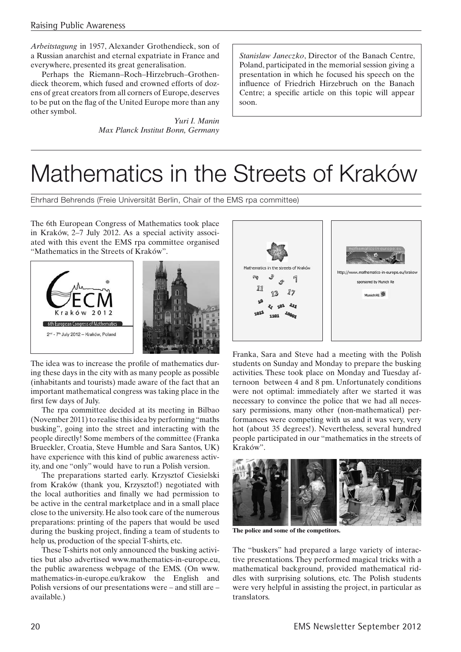*Arbeitstagung* in 1957, Alexander Grothendieck, son of a Russian anarchist and eternal expatriate in France and everywhere, presented its great generalisation.

Perhaps the Riemann–Roch–Hirzebruch–Grothendieck theorem, which fused and crowned efforts of dozens of great creators from all corners of Europe, deserves to be put on the flag of the United Europe more than any other symbol.

> *Yuri I. Manin Max Planck Institut Bonn, Germany*

*Stanislaw Janeczko*, Director of the Banach Centre, Poland, participated in the memorial session giving a presentation in which he focused his speech on the influence of Friedrich Hirzebruch on the Banach Centre; a specific article on this topic will appear soon.

## Mathematics in the Streets of Kraków

Ehrhard Behrends (Freie Universität Berlin, Chair of the EMS rpa committee)

The 6th European Congress of Mathematics took place in Kraków, 2–7 July 2012. As a special activity associated with this event the EMS rpa committee organised "Mathematics in the Streets of Kraków".



The idea was to increase the profile of mathematics during these days in the city with as many people as possible (inhabitants and tourists) made aware of the fact that an important mathematical congress was taking place in the first few days of July.

The rpa committee decided at its meeting in Bilbao (November 2011) to realise this idea by performing "maths busking", going into the street and interacting with the people directly! Some members of the committee (Franka Brueckler, Croatia, Steve Humble and Sara Santos, UK) have experience with this kind of public awareness activity, and one "only" would have to run a Polish version.

The preparations started early. Krzysztof Ciesielski from Kraków (thank you, Krzysztof!) negotiated with the local authorities and finally we had permission to be active in the central marketplace and in a small place close to the university. He also took care of the numerous preparations: printing of the papers that would be used during the busking project, finding a team of students to help us, production of the special T-shirts, etc.

These T-shirts not only announced the busking activities but also advertised www.mathematics-in-europe.eu, the public awareness webpage of the EMS. (On www. mathematics-in-europe.eu/krakow the English and Polish versions of our presentations were – and still are – available.)



Franka, Sara and Steve had a meeting with the Polish students on Sunday and Monday to prepare the busking activities. These took place on Monday and Tuesday afternoon between 4 and 8 pm. Unfortunately conditions were not optimal: immediately after we started it was necessary to convince the police that we had all necessary permissions, many other (non-mathematical) performances were competing with us and it was very, very hot (about 35 degrees!). Nevertheless, several hundred people participated in our "mathematics in the streets of Kraków".



**The police and some of the competitors.**

The "buskers" had prepared a large variety of interactive presentations. They performed magical tricks with a mathematical background, provided mathematical riddles with surprising solutions, etc. The Polish students were very helpful in assisting the project, in particular as translators.